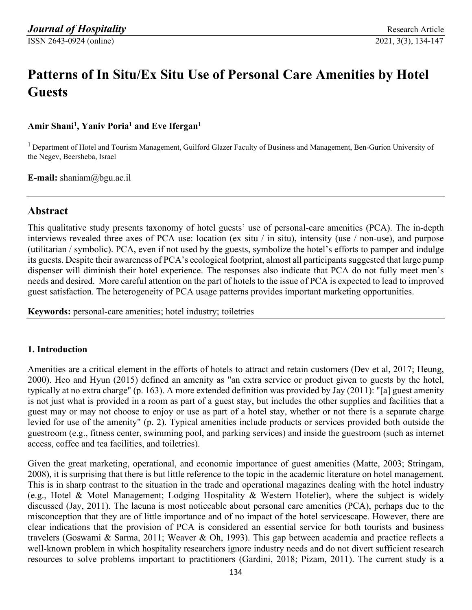# **Patterns of In Situ/Ex Situ Use of Personal Care Amenities by Hotel Guests**

# **Amir Shani1, Yaniv Poria1 and Eve Ifergan1**

<sup>1</sup> Department of Hotel and Tourism Management, Guilford Glazer Faculty of Business and Management, Ben-Gurion University of the Negev, Beersheba, Israel

**E-mail:** shaniam@bgu.ac.il

# **Abstract**

This qualitative study presents taxonomy of hotel guests' use of personal-care amenities (PCA). The in-depth interviews revealed three axes of PCA use: location (ex situ / in situ), intensity (use / non-use), and purpose (utilitarian / symbolic). PCA, even if not used by the guests, symbolize the hotel's efforts to pamper and indulge its guests. Despite their awareness of PCA's ecological footprint, almost all participants suggested that large pump dispenser will diminish their hotel experience. The responses also indicate that PCA do not fully meet men's needs and desired. More careful attention on the part of hotels to the issue of PCA is expected to lead to improved guest satisfaction. The heterogeneity of PCA usage patterns provides important marketing opportunities.

**Keywords:** personal-care amenities; hotel industry; toiletries

#### **1. Introduction**

Amenities are a critical element in the efforts of hotels to attract and retain customers (Dev et al, 2017; Heung, 2000). Heo and Hyun (2015) defined an amenity as "an extra service or product given to guests by the hotel, typically at no extra charge" (p. 163). A more extended definition was provided by Jay (2011): "[a] guest amenity is not just what is provided in a room as part of a guest stay, but includes the other supplies and facilities that a guest may or may not choose to enjoy or use as part of a hotel stay, whether or not there is a separate charge levied for use of the amenity" (p. 2). Typical amenities include products or services provided both outside the guestroom (e.g., fitness center, swimming pool, and parking services) and inside the guestroom (such as internet access, coffee and tea facilities, and toiletries).

Given the great marketing, operational, and economic importance of guest amenities (Matte, 2003; Stringam, 2008), it is surprising that there is but little reference to the topic in the academic literature on hotel management. This is in sharp contrast to the situation in the trade and operational magazines dealing with the hotel industry (e.g., Hotel & Motel Management; Lodging Hospitality & Western Hotelier), where the subject is widely discussed (Jay, 2011). The lacuna is most noticeable about personal care amenities (PCA), perhaps due to the misconception that they are of little importance and of no impact of the hotel servicescape. However, there are clear indications that the provision of PCA is considered an essential service for both tourists and business travelers (Goswami & Sarma, 2011; Weaver & Oh, 1993). This gap between academia and practice reflects a well-known problem in which hospitality researchers ignore industry needs and do not divert sufficient research resources to solve problems important to practitioners (Gardini, 2018; Pizam, 2011). The current study is a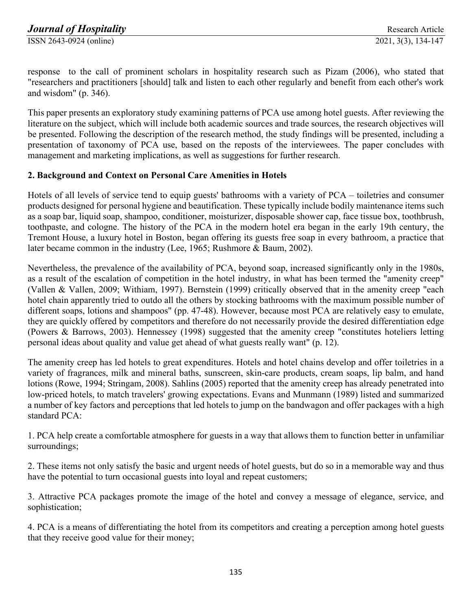response to the call of prominent scholars in hospitality research such as Pizam (2006), who stated that "researchers and practitioners [should] talk and listen to each other regularly and benefit from each other's work and wisdom" (p. 346).

This paper presents an exploratory study examining patterns of PCA use among hotel guests. After reviewing the literature on the subject, which will include both academic sources and trade sources, the research objectives will be presented. Following the description of the research method, the study findings will be presented, including a presentation of taxonomy of PCA use, based on the reposts of the interviewees. The paper concludes with management and marketing implications, as well as suggestions for further research.

#### **2. Background and Context on Personal Care Amenities in Hotels**

Hotels of all levels of service tend to equip guests' bathrooms with a variety of PCA – toiletries and consumer products designed for personal hygiene and beautification. These typically include bodily maintenance items such as a soap bar, liquid soap, shampoo, conditioner, moisturizer, disposable shower cap, face tissue box, toothbrush, toothpaste, and cologne. The history of the PCA in the modern hotel era began in the early 19th century, the Tremont House, a luxury hotel in Boston, began offering its guests free soap in every bathroom, a practice that later became common in the industry (Lee, 1965; Rushmore & Baum, 2002).

Nevertheless, the prevalence of the availability of PCA, beyond soap, increased significantly only in the 1980s, as a result of the escalation of competition in the hotel industry, in what has been termed the "amenity creep" (Vallen & Vallen, 2009; Withiam, 1997). Bernstein (1999) critically observed that in the amenity creep "each hotel chain apparently tried to outdo all the others by stocking bathrooms with the maximum possible number of different soaps, lotions and shampoos" (pp. 47-48). However, because most PCA are relatively easy to emulate, they are quickly offered by competitors and therefore do not necessarily provide the desired differentiation edge (Powers & Barrows, 2003). Hennessey (1998) suggested that the amenity creep "constitutes hoteliers letting personal ideas about quality and value get ahead of what guests really want" (p. 12).

The amenity creep has led hotels to great expenditures. Hotels and hotel chains develop and offer toiletries in a variety of fragrances, milk and mineral baths, sunscreen, skin-care products, cream soaps, lip balm, and hand lotions (Rowe, 1994; Stringam, 2008). Sahlins (2005) reported that the amenity creep has already penetrated into low-priced hotels, to match travelers' growing expectations. Evans and Munmann (1989) listed and summarized a number of key factors and perceptions that led hotels to jump on the bandwagon and offer packages with a high standard PCA:

1. PCA help create a comfortable atmosphere for guests in a way that allows them to function better in unfamiliar surroundings;

2. These items not only satisfy the basic and urgent needs of hotel guests, but do so in a memorable way and thus have the potential to turn occasional guests into loyal and repeat customers;

3. Attractive PCA packages promote the image of the hotel and convey a message of elegance, service, and sophistication;

4. PCA is a means of differentiating the hotel from its competitors and creating a perception among hotel guests that they receive good value for their money;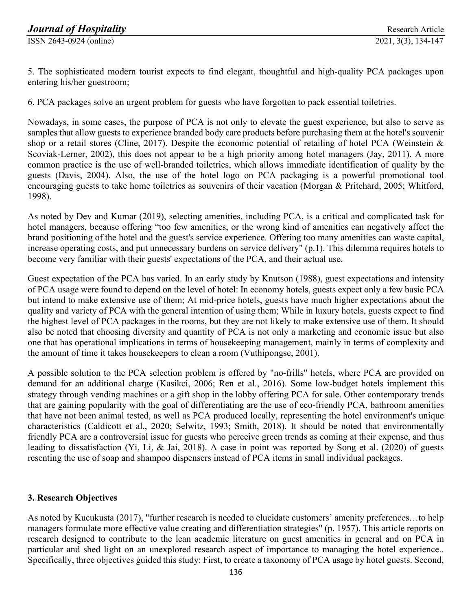5. The sophisticated modern tourist expects to find elegant, thoughtful and high-quality PCA packages upon entering his/her guestroom;

6. PCA packages solve an urgent problem for guests who have forgotten to pack essential toiletries.

Nowadays, in some cases, the purpose of PCA is not only to elevate the guest experience, but also to serve as samples that allow guests to experience branded body care products before purchasing them at the hotel's souvenir shop or a retail stores (Cline, 2017). Despite the economic potential of retailing of hotel PCA (Weinstein & Scoviak-Lerner, 2002), this does not appear to be a high priority among hotel managers (Jay, 2011). A more common practice is the use of well-branded toiletries, which allows immediate identification of quality by the guests (Davis, 2004). Also, the use of the hotel logo on PCA packaging is a powerful promotional tool encouraging guests to take home toiletries as souvenirs of their vacation (Morgan & Pritchard, 2005; Whitford, 1998).

As noted by Dev and Kumar (2019), selecting amenities, including PCA, is a critical and complicated task for hotel managers, because offering "too few amenities, or the wrong kind of amenities can negatively affect the brand positioning of the hotel and the guest's service experience. Offering too many amenities can waste capital, increase operating costs, and put unnecessary burdens on service delivery" (p.1). This dilemma requires hotels to become very familiar with their guests' expectations of the PCA, and their actual use.

Guest expectation of the PCA has varied. In an early study by Knutson (1988), guest expectations and intensity of PCA usage were found to depend on the level of hotel: In economy hotels, guests expect only a few basic PCA but intend to make extensive use of them; At mid-price hotels, guests have much higher expectations about the quality and variety of PCA with the general intention of using them; While in luxury hotels, guests expect to find the highest level of PCA packages in the rooms, but they are not likely to make extensive use of them. It should also be noted that choosing diversity and quantity of PCA is not only a marketing and economic issue but also one that has operational implications in terms of housekeeping management, mainly in terms of complexity and the amount of time it takes housekeepers to clean a room (Vuthipongse, 2001).

A possible solution to the PCA selection problem is offered by "no-frills" hotels, where PCA are provided on demand for an additional charge (Kasikci, 2006; Ren et al., 2016). Some low-budget hotels implement this strategy through vending machines or a gift shop in the lobby offering PCA for sale. Other contemporary trends that are gaining popularity with the goal of differentiating are the use of eco-friendly PCA, bathroom amenities that have not been animal tested, as well as PCA produced locally, representing the hotel environment's unique characteristics (Caldicott et al., 2020; Selwitz, 1993; Smith, 2018). It should be noted that environmentally friendly PCA are a controversial issue for guests who perceive green trends as coming at their expense, and thus leading to dissatisfaction (Yi, Li, & Jai, 2018). A case in point was reported by Song et al. (2020) of guests resenting the use of soap and shampoo dispensers instead of PCA items in small individual packages.

# **3. Research Objectives**

As noted by Kucukusta (2017), "further research is needed to elucidate customers' amenity preferences…to help managers formulate more effective value creating and differentiation strategies" (p. 1957). This article reports on research designed to contribute to the lean academic literature on guest amenities in general and on PCA in particular and shed light on an unexplored research aspect of importance to managing the hotel experience.. Specifically, three objectives guided this study: First, to create a taxonomy of PCA usage by hotel guests. Second,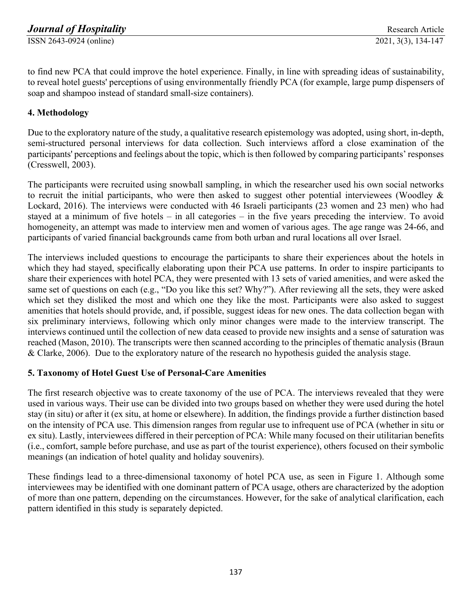to find new PCA that could improve the hotel experience. Finally, in line with spreading ideas of sustainability, to reveal hotel guests' perceptions of using environmentally friendly PCA (for example, large pump dispensers of soap and shampoo instead of standard small-size containers).

#### **4. Methodology**

Due to the exploratory nature of the study, a qualitative research epistemology was adopted, using short, in-depth, semi-structured personal interviews for data collection. Such interviews afford a close examination of the participants' perceptions and feelings about the topic, which is then followed by comparing participants' responses (Cresswell, 2003).

The participants were recruited using snowball sampling, in which the researcher used his own social networks to recruit the initial participants, who were then asked to suggest other potential interviewees (Woodley & Lockard, 2016). The interviews were conducted with 46 Israeli participants (23 women and 23 men) who had stayed at a minimum of five hotels – in all categories – in the five years preceding the interview. To avoid homogeneity, an attempt was made to interview men and women of various ages. The age range was 24-66, and participants of varied financial backgrounds came from both urban and rural locations all over Israel.

The interviews included questions to encourage the participants to share their experiences about the hotels in which they had stayed, specifically elaborating upon their PCA use patterns. In order to inspire participants to share their experiences with hotel PCA, they were presented with 13 sets of varied amenities, and were asked the same set of questions on each (e.g., "Do you like this set? Why?"). After reviewing all the sets, they were asked which set they disliked the most and which one they like the most. Participants were also asked to suggest amenities that hotels should provide, and, if possible, suggest ideas for new ones. The data collection began with six preliminary interviews, following which only minor changes were made to the interview transcript. The interviews continued until the collection of new data ceased to provide new insights and a sense of saturation was reached (Mason, 2010). The transcripts were then scanned according to the principles of thematic analysis (Braun & Clarke, 2006). Due to the exploratory nature of the research no hypothesis guided the analysis stage.

#### **5. Taxonomy of Hotel Guest Use of Personal-Care Amenities**

The first research objective was to create taxonomy of the use of PCA. The interviews revealed that they were used in various ways. Their use can be divided into two groups based on whether they were used during the hotel stay (in situ) or after it (ex situ, at home or elsewhere). In addition, the findings provide a further distinction based on the intensity of PCA use. This dimension ranges from regular use to infrequent use of PCA (whether in situ or ex situ). Lastly, interviewees differed in their perception of PCA: While many focused on their utilitarian benefits (i.e., comfort, sample before purchase, and use as part of the tourist experience), others focused on their symbolic meanings (an indication of hotel quality and holiday souvenirs).

These findings lead to a three-dimensional taxonomy of hotel PCA use, as seen in Figure 1. Although some interviewees may be identified with one dominant pattern of PCA usage, others are characterized by the adoption of more than one pattern, depending on the circumstances. However, for the sake of analytical clarification, each pattern identified in this study is separately depicted.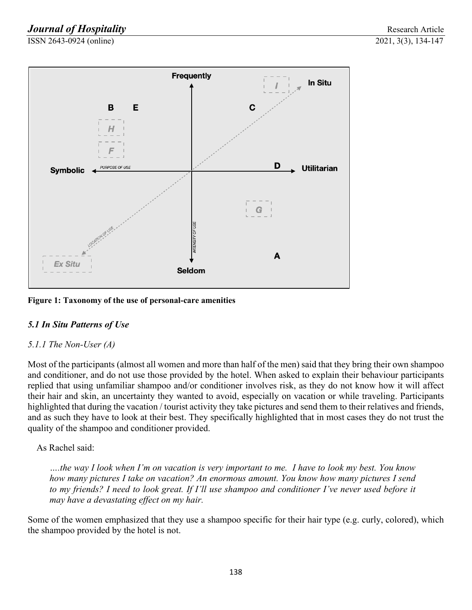# *Journal of Hospitality* Research Article

ISSN 2643-0924 (online) 2021, 3(3), 134-147



**Figure 1: Taxonomy of the use of personal-care amenities**

#### *5.1 In Situ Patterns of Use*

#### *5.1.1 The Non-User (A)*

Most of the participants (almost all women and more than half of the men) said that they bring their own shampoo and conditioner, and do not use those provided by the hotel. When asked to explain their behaviour participants replied that using unfamiliar shampoo and/or conditioner involves risk, as they do not know how it will affect their hair and skin, an uncertainty they wanted to avoid, especially on vacation or while traveling. Participants highlighted that during the vacation / tourist activity they take pictures and send them to their relatives and friends, and as such they have to look at their best. They specifically highlighted that in most cases they do not trust the quality of the shampoo and conditioner provided.

#### As Rachel said:

*….the way I look when I'm on vacation is very important to me. I have to look my best. You know how many pictures I take on vacation? An enormous amount. You know how many pictures I send to my friends? I need to look great. If I'll use shampoo and conditioner I've never used before it may have a devastating effect on my hair.*

Some of the women emphasized that they use a shampoo specific for their hair type (e.g. curly, colored), which the shampoo provided by the hotel is not.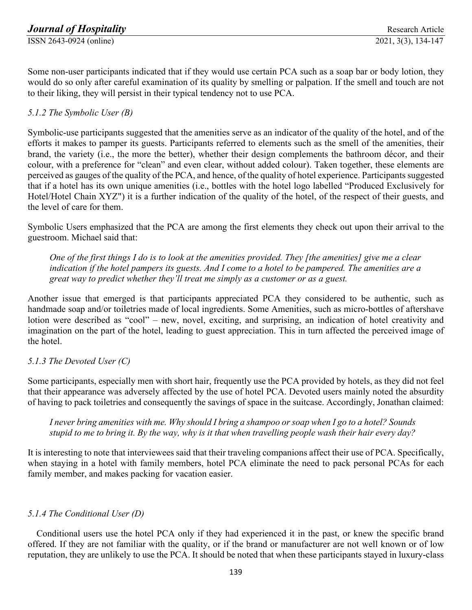Some non-user participants indicated that if they would use certain PCA such as a soap bar or body lotion, they would do so only after careful examination of its quality by smelling or palpation. If the smell and touch are not to their liking, they will persist in their typical tendency not to use PCA.

#### *5.1.2 The Symbolic User (B)*

Symbolic-use participants suggested that the amenities serve as an indicator of the quality of the hotel, and of the efforts it makes to pamper its guests. Participants referred to elements such as the smell of the amenities, their brand, the variety (i.e., the more the better), whether their design complements the bathroom décor, and their colour, with a preference for "clean" and even clear, without added colour). Taken together, these elements are perceived as gauges of the quality of the PCA, and hence, of the quality of hotel experience. Participants suggested that if a hotel has its own unique amenities (i.e., bottles with the hotel logo labelled "Produced Exclusively for Hotel/Hotel Chain XYZ") it is a further indication of the quality of the hotel, of the respect of their guests, and the level of care for them.

Symbolic Users emphasized that the PCA are among the first elements they check out upon their arrival to the guestroom. Michael said that:

*One of the first things I do is to look at the amenities provided. They [the amenities] give me a clear indication if the hotel pampers its guests. And I come to a hotel to be pampered. The amenities are a great way to predict whether they'll treat me simply as a customer or as a guest.*

Another issue that emerged is that participants appreciated PCA they considered to be authentic, such as handmade soap and/or toiletries made of local ingredients. Some Amenities, such as micro-bottles of aftershave lotion were described as "cool" – new, novel, exciting, and surprising, an indication of hotel creativity and imagination on the part of the hotel, leading to guest appreciation. This in turn affected the perceived image of the hotel.

#### *5.1.3 The Devoted User (C)*

Some participants, especially men with short hair, frequently use the PCA provided by hotels, as they did not feel that their appearance was adversely affected by the use of hotel PCA. Devoted users mainly noted the absurdity of having to pack toiletries and consequently the savings of space in the suitcase. Accordingly, Jonathan claimed:

*I never bring amenities with me. Why should I bring a shampoo or soap when I go to a hotel? Sounds stupid to me to bring it. By the way, why is it that when travelling people wash their hair every day?* 

It is interesting to note that interviewees said that their traveling companions affect their use of PCA. Specifically, when staying in a hotel with family members, hotel PCA eliminate the need to pack personal PCAs for each family member, and makes packing for vacation easier.

#### *5.1.4 The Conditional User (D)*

Conditional users use the hotel PCA only if they had experienced it in the past, or knew the specific brand offered. If they are not familiar with the quality, or if the brand or manufacturer are not well known or of low reputation, they are unlikely to use the PCA. It should be noted that when these participants stayed in luxury-class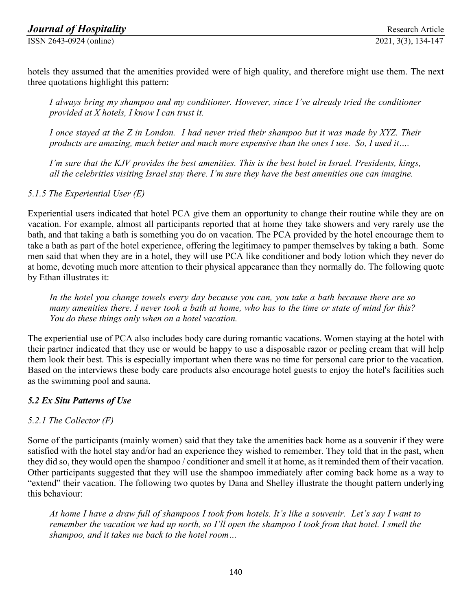hotels they assumed that the amenities provided were of high quality, and therefore might use them. The next three quotations highlight this pattern:

*I always bring my shampoo and my conditioner. However, since I've already tried the conditioner provided at X hotels, I know I can trust it.*

*I once stayed at the Z in London. I had never tried their shampoo but it was made by XYZ. Their products are amazing, much better and much more expensive than the ones I use. So, I used it….*

*I'm sure that the KJV provides the best amenities. This is the best hotel in Israel. Presidents, kings, all the celebrities visiting Israel stay there. I'm sure they have the best amenities one can imagine.*

# *5.1.5 The Experiential User (E)*

Experiential users indicated that hotel PCA give them an opportunity to change their routine while they are on vacation. For example, almost all participants reported that at home they take showers and very rarely use the bath, and that taking a bath is something you do on vacation. The PCA provided by the hotel encourage them to take a bath as part of the hotel experience, offering the legitimacy to pamper themselves by taking a bath. Some men said that when they are in a hotel, they will use PCA like conditioner and body lotion which they never do at home, devoting much more attention to their physical appearance than they normally do. The following quote by Ethan illustrates it:

*In the hotel you change towels every day because you can, you take a bath because there are so many amenities there. I never took a bath at home, who has to the time or state of mind for this? You do these things only when on a hotel vacation.*

The experiential use of PCA also includes body care during romantic vacations. Women staying at the hotel with their partner indicated that they use or would be happy to use a disposable razor or peeling cream that will help them look their best. This is especially important when there was no time for personal care prior to the vacation. Based on the interviews these body care products also encourage hotel guests to enjoy the hotel's facilities such as the swimming pool and sauna.

#### *5.2 Ex Situ Patterns of Use*

# *5.2.1 The Collector (F)*

Some of the participants (mainly women) said that they take the amenities back home as a souvenir if they were satisfied with the hotel stay and/or had an experience they wished to remember. They told that in the past, when they did so, they would open the shampoo / conditioner and smell it at home, as it reminded them of their vacation. Other participants suggested that they will use the shampoo immediately after coming back home as a way to "extend" their vacation. The following two quotes by Dana and Shelley illustrate the thought pattern underlying this behaviour:

*At home I have a draw full of shampoos I took from hotels. It's like a souvenir. Let's say I want to remember the vacation we had up north, so I'll open the shampoo I took from that hotel. I smell the shampoo, and it takes me back to the hotel room…*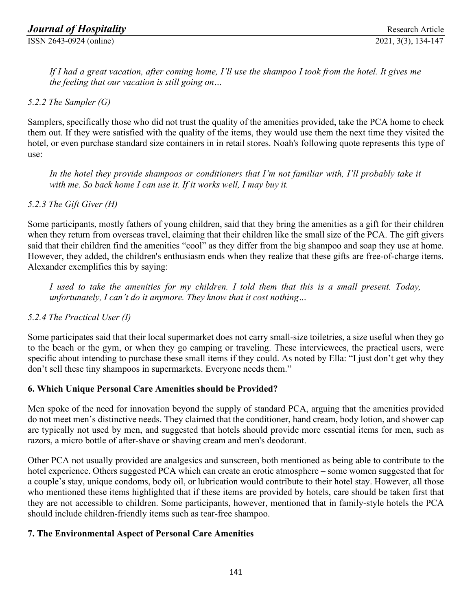*If I had a great vacation, after coming home, I'll use the shampoo I took from the hotel. It gives me the feeling that our vacation is still going on…*

# *5.2.2 The Sampler (G)*

Samplers, specifically those who did not trust the quality of the amenities provided, take the PCA home to check them out. If they were satisfied with the quality of the items, they would use them the next time they visited the hotel, or even purchase standard size containers in in retail stores. Noah's following quote represents this type of use:

*In the hotel they provide shampoos or conditioners that I'm not familiar with, I'll probably take it*  with me. So back home I can use it. If it works well, I may buy it.

# *5.2.3 The Gift Giver (H)*

Some participants, mostly fathers of young children, said that they bring the amenities as a gift for their children when they return from overseas travel, claiming that their children like the small size of the PCA. The gift givers said that their children find the amenities "cool" as they differ from the big shampoo and soap they use at home. However, they added, the children's enthusiasm ends when they realize that these gifts are free-of-charge items. Alexander exemplifies this by saying:

*I used to take the amenities for my children. I told them that this is a small present. Today, unfortunately, I can't do it anymore. They know that it cost nothing…*

#### *5.2.4 The Practical User (I)*

Some participates said that their local supermarket does not carry small-size toiletries, a size useful when they go to the beach or the gym, or when they go camping or traveling. These interviewees, the practical users, were specific about intending to purchase these small items if they could. As noted by Ella: "I just don't get why they don't sell these tiny shampoos in supermarkets. Everyone needs them."

#### **6. Which Unique Personal Care Amenities should be Provided?**

Men spoke of the need for innovation beyond the supply of standard PCA, arguing that the amenities provided do not meet men's distinctive needs. They claimed that the conditioner, hand cream, body lotion, and shower cap are typically not used by men, and suggested that hotels should provide more essential items for men, such as razors, a micro bottle of after-shave or shaving cream and men's deodorant.

Other PCA not usually provided are analgesics and sunscreen, both mentioned as being able to contribute to the hotel experience. Others suggested PCA which can create an erotic atmosphere – some women suggested that for a couple's stay, unique condoms, body oil, or lubrication would contribute to their hotel stay. However, all those who mentioned these items highlighted that if these items are provided by hotels, care should be taken first that they are not accessible to children. Some participants, however, mentioned that in family-style hotels the PCA should include children-friendly items such as tear-free shampoo.

# **7. The Environmental Aspect of Personal Care Amenities**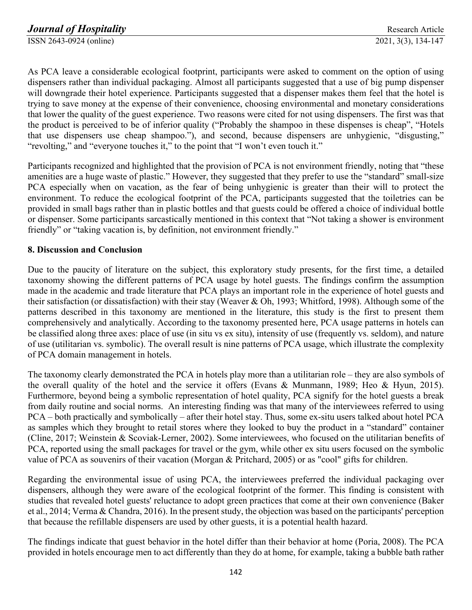As PCA leave a considerable ecological footprint, participants were asked to comment on the option of using dispensers rather than individual packaging. Almost all participants suggested that a use of big pump dispenser will downgrade their hotel experience. Participants suggested that a dispenser makes them feel that the hotel is trying to save money at the expense of their convenience, choosing environmental and monetary considerations that lower the quality of the guest experience. Two reasons were cited for not using dispensers. The first was that the product is perceived to be of inferior quality ("Probably the shampoo in these dispenses is cheap", "Hotels that use dispensers use cheap shampoo."), and second, because dispensers are unhygienic, "disgusting," "revolting," and "everyone touches it," to the point that "I won't even touch it."

Participants recognized and highlighted that the provision of PCA is not environment friendly, noting that "these amenities are a huge waste of plastic." However, they suggested that they prefer to use the "standard" small-size PCA especially when on vacation, as the fear of being unhygienic is greater than their will to protect the environment. To reduce the ecological footprint of the PCA, participants suggested that the toiletries can be provided in small bags rather than in plastic bottles and that guests could be offered a choice of individual bottle or dispenser. Some participants sarcastically mentioned in this context that "Not taking a shower is environment friendly" or "taking vacation is, by definition, not environment friendly."

#### **8. Discussion and Conclusion**

Due to the paucity of literature on the subject, this exploratory study presents, for the first time, a detailed taxonomy showing the different patterns of PCA usage by hotel guests. The findings confirm the assumption made in the academic and trade literature that PCA plays an important role in the experience of hotel guests and their satisfaction (or dissatisfaction) with their stay (Weaver & Oh, 1993; Whitford, 1998). Although some of the patterns described in this taxonomy are mentioned in the literature, this study is the first to present them comprehensively and analytically. According to the taxonomy presented here, PCA usage patterns in hotels can be classified along three axes: place of use (in situ vs ex situ), intensity of use (frequently vs. seldom), and nature of use (utilitarian vs. symbolic). The overall result is nine patterns of PCA usage, which illustrate the complexity of PCA domain management in hotels.

The taxonomy clearly demonstrated the PCA in hotels play more than a utilitarian role – they are also symbols of the overall quality of the hotel and the service it offers (Evans & Munmann, 1989; Heo & Hyun, 2015). Furthermore, beyond being a symbolic representation of hotel quality, PCA signify for the hotel guests a break from daily routine and social norms. An interesting finding was that many of the interviewees referred to using PCA – both practically and symbolically – after their hotel stay. Thus, some ex-situ users talked about hotel PCA as samples which they brought to retail stores where they looked to buy the product in a "standard" container (Cline, 2017; Weinstein & Scoviak-Lerner, 2002). Some interviewees, who focused on the utilitarian benefits of PCA, reported using the small packages for travel or the gym, while other ex situ users focused on the symbolic value of PCA as souvenirs of their vacation (Morgan & Pritchard, 2005) or as "cool" gifts for children.

Regarding the environmental issue of using PCA, the interviewees preferred the individual packaging over dispensers, although they were aware of the ecological footprint of the former. This finding is consistent with studies that revealed hotel guests' reluctance to adopt green practices that come at their own convenience (Baker et al., 2014; Verma & Chandra, 2016). In the present study, the objection was based on the participants' perception that because the refillable dispensers are used by other guests, it is a potential health hazard.

The findings indicate that guest behavior in the hotel differ than their behavior at home (Poria, 2008). The PCA provided in hotels encourage men to act differently than they do at home, for example, taking a bubble bath rather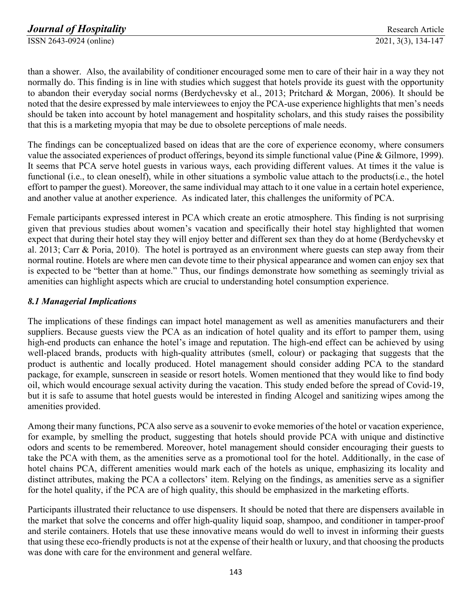than a shower. Also, the availability of conditioner encouraged some men to care of their hair in a way they not normally do. This finding is in line with studies which suggest that hotels provide its guest with the opportunity to abandon their everyday social norms (Berdychevsky et al., 2013; Pritchard & Morgan, 2006). It should be noted that the desire expressed by male interviewees to enjoy the PCA-use experience highlights that men's needs should be taken into account by hotel management and hospitality scholars, and this study raises the possibility that this is a marketing myopia that may be due to obsolete perceptions of male needs.

The findings can be conceptualized based on ideas that are the core of experience economy, where consumers value the associated experiences of product offerings, beyond its simple functional value (Pine & Gilmore, 1999). It seems that PCA serve hotel guests in various ways, each providing different values. At times it the value is functional (i.e., to clean oneself), while in other situations a symbolic value attach to the products(i.e., the hotel effort to pamper the guest). Moreover, the same individual may attach to it one value in a certain hotel experience, and another value at another experience. As indicated later, this challenges the uniformity of PCA.

Female participants expressed interest in PCA which create an erotic atmosphere. This finding is not surprising given that previous studies about women's vacation and specifically their hotel stay highlighted that women expect that during their hotel stay they will enjoy better and different sex than they do at home (Berdychevsky et al. 2013; Carr & Poria, 2010). The hotel is portrayed as an environment where guests can step away from their normal routine. Hotels are where men can devote time to their physical appearance and women can enjoy sex that is expected to be "better than at home." Thus, our findings demonstrate how something as seemingly trivial as amenities can highlight aspects which are crucial to understanding hotel consumption experience.

#### *8.1 Managerial Implications*

The implications of these findings can impact hotel management as well as amenities manufacturers and their suppliers. Because guests view the PCA as an indication of hotel quality and its effort to pamper them, using high-end products can enhance the hotel's image and reputation. The high-end effect can be achieved by using well-placed brands, products with high-quality attributes (smell, colour) or packaging that suggests that the product is authentic and locally produced. Hotel management should consider adding PCA to the standard package, for example, sunscreen in seaside or resort hotels. Women mentioned that they would like to find body oil, which would encourage sexual activity during the vacation. This study ended before the spread of Covid-19, but it is safe to assume that hotel guests would be interested in finding Alcogel and sanitizing wipes among the amenities provided.

Among their many functions, PCA also serve as a souvenir to evoke memories of the hotel or vacation experience, for example, by smelling the product, suggesting that hotels should provide PCA with unique and distinctive odors and scents to be remembered. Moreover, hotel management should consider encouraging their guests to take the PCA with them, as the amenities serve as a promotional tool for the hotel. Additionally, in the case of hotel chains PCA, different amenities would mark each of the hotels as unique, emphasizing its locality and distinct attributes, making the PCA a collectors' item. Relying on the findings, as amenities serve as a signifier for the hotel quality, if the PCA are of high quality, this should be emphasized in the marketing efforts.

Participants illustrated their reluctance to use dispensers. It should be noted that there are dispensers available in the market that solve the concerns and offer high-quality liquid soap, shampoo, and conditioner in tamper-proof and sterile containers. Hotels that use these innovative means would do well to invest in informing their guests that using these eco-friendly products is not at the expense of their health or luxury, and that choosing the products was done with care for the environment and general welfare.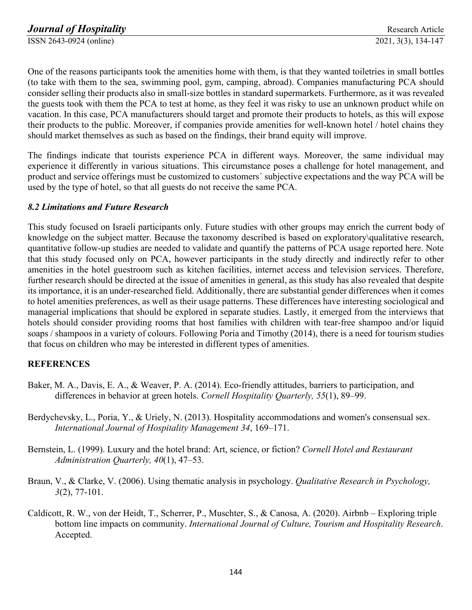One of the reasons participants took the amenities home with them, is that they wanted toiletries in small bottles (to take with them to the sea, swimming pool, gym, camping, abroad). Companies manufacturing PCA should consider selling their products also in small-size bottles in standard supermarkets. Furthermore, as it was revealed the guests took with them the PCA to test at home, as they feel it was risky to use an unknown product while on vacation. In this case, PCA manufacturers should target and promote their products to hotels, as this will expose their products to the public. Moreover, if companies provide amenities for well-known hotel / hotel chains they should market themselves as such as based on the findings, their brand equity will improve.

The findings indicate that tourists experience PCA in different ways. Moreover, the same individual may experience it differently in various situations. This circumstance poses a challenge for hotel management, and product and service offerings must be customized to customers´ subjective expectations and the way PCA will be used by the type of hotel, so that all guests do not receive the same PCA.

#### *8.2 Limitations and Future Research*

This study focused on Israeli participants only. Future studies with other groups may enrich the current body of knowledge on the subject matter. Because the taxonomy described is based on exploratory\qualitative research, quantitative follow-up studies are needed to validate and quantify the patterns of PCA usage reported here. Note that this study focused only on PCA, however participants in the study directly and indirectly refer to other amenities in the hotel guestroom such as kitchen facilities, internet access and television services. Therefore, further research should be directed at the issue of amenities in general, as this study has also revealed that despite its importance, it is an under-researched field. Additionally, there are substantial gender differences when it comes to hotel amenities preferences, as well as their usage patterns. These differences have interesting sociological and managerial implications that should be explored in separate studies. Lastly, it emerged from the interviews that hotels should consider providing rooms that host families with children with tear-free shampoo and/or liquid soaps / shampoos in a variety of colours. Following Poria and Timothy (2014), there is a need for tourism studies that focus on children who may be interested in different types of amenities.

# **REFERENCES**

- Baker, M. A., Davis, E. A., & Weaver, P. A. (2014). Eco-friendly attitudes, barriers to participation, and differences in behavior at green hotels. *Cornell Hospitality Quarterly, 55*(1), 89–99.
- Berdychevsky, L., Poria, Y., & Uriely, N. (2013). Hospitality accommodations and women's consensual sex. *International Journal of Hospitality Management 34*, 169–171.
- Bernstein, L. (1999). Luxury and the hotel brand: Art, science, or fiction? *Cornell Hotel and Restaurant Administration Quarterly, 40*(1), 47–53.
- Braun, V., & Clarke, V. (2006). Using thematic analysis in psychology. *Qualitative Research in Psychology, 3*(2), 77-101.
- Caldicott, R. W., von der Heidt, T., Scherrer, P., Muschter, S., & Canosa, A. (2020). Airbnb Exploring triple bottom line impacts on community. *International Journal of Culture, Tourism and Hospitality Research*. Accepted.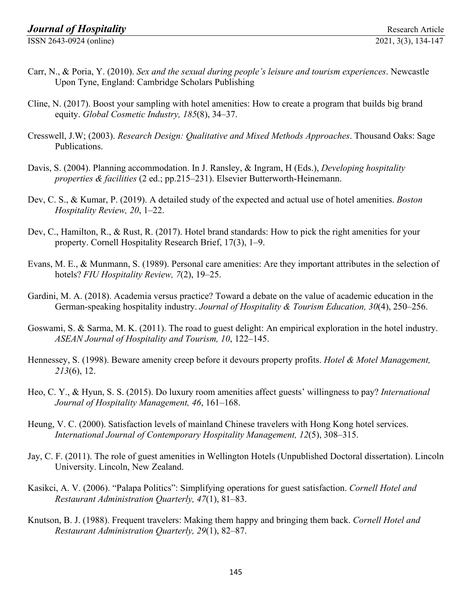- Carr, N., & Poria, Y. (2010). *Sex and the sexual during people's leisure and tourism experiences*. Newcastle Upon Tyne, England: Cambridge Scholars Publishing
- Cline, N. (2017). Boost your sampling with hotel amenities: How to create a program that builds big brand equity. *Global Cosmetic Industry, 185*(8), 34–37.
- Cresswell, J.W; (2003). *Research Design: Qualitative and Mixed Methods Approaches*. Thousand Oaks: Sage Publications.
- Davis, S. (2004). Planning accommodation. In J. Ransley, & Ingram, H (Eds.), *Developing hospitality properties & facilities* (2 ed.; pp.215–231). Elsevier Butterworth-Heinemann.
- Dev, C. S., & Kumar, P. (2019). A detailed study of the expected and actual use of hotel amenities. *Boston Hospitality Review, 20*, 1–22.
- Dev, C., Hamilton, R., & Rust, R. (2017). Hotel brand standards: How to pick the right amenities for your property. Cornell Hospitality Research Brief, 17(3), 1–9.
- Evans, M. E., & Munmann, S. (1989). Personal care amenities: Are they important attributes in the selection of hotels? *FIU Hospitality Review, 7*(2), 19–25.
- Gardini, M. A. (2018). Academia versus practice? Toward a debate on the value of academic education in the German-speaking hospitality industry. *Journal of Hospitality & Tourism Education, 30*(4), 250–256.
- Goswami, S. & Sarma, M. K. (2011). The road to guest delight: An empirical exploration in the hotel industry. *ASEAN Journal of Hospitality and Tourism, 10*, 122–145.
- Hennessey, S. (1998). Beware amenity creep before it devours property profits. *Hotel & Motel Management, 213*(6), 12.
- Heo, C. Y., & Hyun, S. S. (2015). Do luxury room amenities affect guests' willingness to pay? *International Journal of Hospitality Management, 46*, 161–168.
- Heung, V. C. (2000). Satisfaction levels of mainland Chinese travelers with Hong Kong hotel services. *International Journal of Contemporary Hospitality Management, 12*(5), 308–315.
- Jay, C. F. (2011). The role of guest amenities in Wellington Hotels (Unpublished Doctoral dissertation). Lincoln University. Lincoln, New Zealand.
- Kasikci, A. V. (2006). "Palapa Politics": Simplifying operations for guest satisfaction. *Cornell Hotel and Restaurant Administration Quarterly, 47*(1), 81–83.
- Knutson, B. J. (1988). Frequent travelers: Making them happy and bringing them back. *Cornell Hotel and Restaurant Administration Quarterly, 29*(1), 82–87.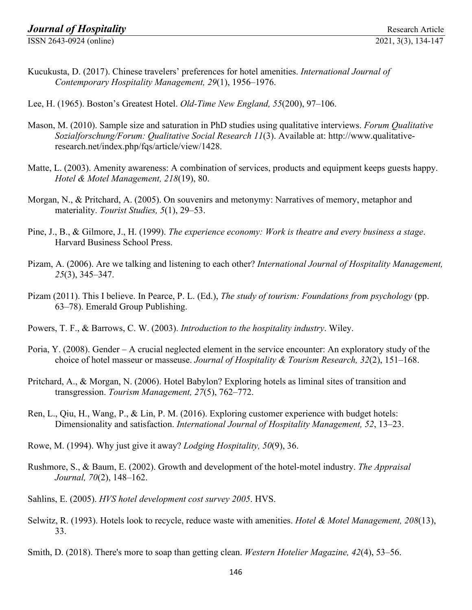- Kucukusta, D. (2017). Chinese travelers' preferences for hotel amenities. *International Journal of Contemporary Hospitality Management, 29*(1), 1956–1976.
- Lee, H. (1965). Boston's Greatest Hotel. *Old-Time New England, 55*(200), 97–106.
- Mason, M. (2010). Sample size and saturation in PhD studies using qualitative interviews. *Forum Qualitative Sozialforschung/Forum: Qualitative Social Research 11*(3). Available at: http://www.qualitativeresearch.net/index.php/fqs/article/view/1428.
- Matte, L. (2003). Amenity awareness: A combination of services, products and equipment keeps guests happy. *Hotel & Motel Management, 218*(19), 80.
- Morgan, N., & Pritchard, A. (2005). On souvenirs and metonymy: Narratives of memory, metaphor and materiality. *Tourist Studies, 5*(1), 29–53.
- Pine, J., B., & Gilmore, J., H. (1999). *The experience economy: Work is theatre and every business a stage*. Harvard Business School Press.
- Pizam, A. (2006). Are we talking and listening to each other? *International Journal of Hospitality Management, 25*(3), 345–347.
- Pizam (2011). This I believe. In Pearce, P. L. (Ed.), *The study of tourism: Foundations from psychology* (pp. 63–78). Emerald Group Publishing.
- Powers, T. F., & Barrows, C. W. (2003). *Introduction to the hospitality industry*. Wiley.
- Poria, Y. (2008). Gender A crucial neglected element in the service encounter: An exploratory study of the choice of hotel masseur or masseuse. *Journal of Hospitality & Tourism Research, 32*(2), 151–168.
- Pritchard, A., & Morgan, N. (2006). Hotel Babylon? Exploring hotels as liminal sites of transition and transgression. *Tourism Management, 27*(5), 762–772.
- Ren, L., Qiu, H., Wang, P., & Lin, P. M. (2016). Exploring customer experience with budget hotels: Dimensionality and satisfaction. *International Journal of Hospitality Management, 52*, 13–23.
- Rowe, M. (1994). Why just give it away? *Lodging Hospitality, 50*(9), 36.
- Rushmore, S., & Baum, E. (2002). Growth and development of the hotel-motel industry. *The Appraisal Journal, 70*(2), 148–162.
- Sahlins, E. (2005). *HVS hotel development cost survey 2005*. HVS.
- Selwitz, R. (1993). Hotels look to recycle, reduce waste with amenities. *Hotel & Motel Management, 208*(13), 33.
- Smith, D. (2018). There's more to soap than getting clean. *Western Hotelier Magazine, 42*(4), 53–56.